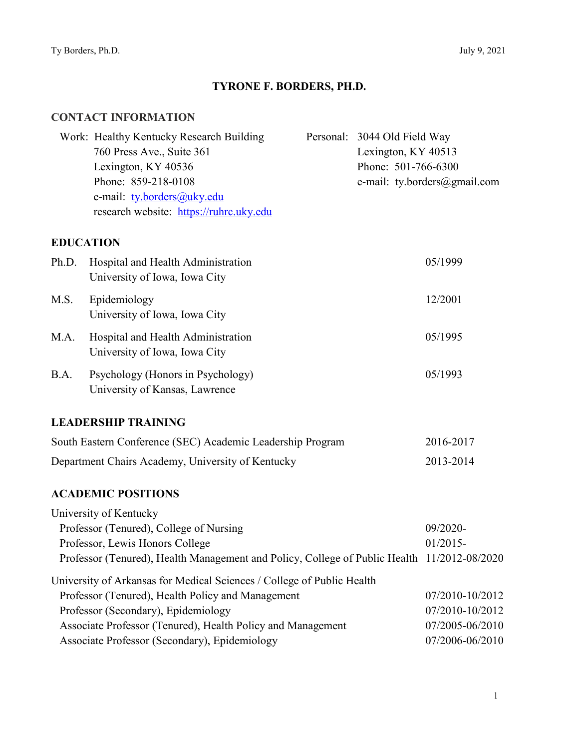# **TYRONE F. BORDERS, PH.D.**

### **CONTACT INFORMATION**

|                                                   | Work: Healthy Kentucky Research Building<br>760 Press Ave., Suite 361<br>Lexington, KY 40536<br>Phone: 859-218-0108<br>e-mail: ty.borders@uky.edu<br>research website: https://ruhrc.uky.edu                                                                                       | Personal: 3044 Old Field Way<br>Lexington, KY 40513<br>Phone: 501-766-6300 | e-mail: ty.borders@gmail.com                                             |
|---------------------------------------------------|------------------------------------------------------------------------------------------------------------------------------------------------------------------------------------------------------------------------------------------------------------------------------------|----------------------------------------------------------------------------|--------------------------------------------------------------------------|
| <b>EDUCATION</b>                                  |                                                                                                                                                                                                                                                                                    |                                                                            |                                                                          |
| Ph.D.                                             | Hospital and Health Administration<br>University of Iowa, Iowa City                                                                                                                                                                                                                |                                                                            | 05/1999                                                                  |
| M.S.                                              | Epidemiology<br>University of Iowa, Iowa City                                                                                                                                                                                                                                      |                                                                            | 12/2001                                                                  |
| M.A.                                              | Hospital and Health Administration<br>University of Iowa, Iowa City                                                                                                                                                                                                                |                                                                            | 05/1995                                                                  |
| B.A.                                              | Psychology (Honors in Psychology)<br>University of Kansas, Lawrence                                                                                                                                                                                                                |                                                                            | 05/1993                                                                  |
|                                                   | <b>LEADERSHIP TRAINING</b>                                                                                                                                                                                                                                                         |                                                                            |                                                                          |
|                                                   | South Eastern Conference (SEC) Academic Leadership Program                                                                                                                                                                                                                         |                                                                            | 2016-2017                                                                |
| Department Chairs Academy, University of Kentucky |                                                                                                                                                                                                                                                                                    | 2013-2014                                                                  |                                                                          |
|                                                   | <b>ACADEMIC POSITIONS</b>                                                                                                                                                                                                                                                          |                                                                            |                                                                          |
|                                                   | University of Kentucky<br>Professor (Tenured), College of Nursing<br>Professor, Lewis Honors College<br>Professor (Tenured), Health Management and Policy, College of Public Health 11/2012-08/2020                                                                                |                                                                            | 09/2020-<br>$01/2015 -$                                                  |
|                                                   | University of Arkansas for Medical Sciences / College of Public Health<br>Professor (Tenured), Health Policy and Management<br>Professor (Secondary), Epidemiology<br>Associate Professor (Tenured), Health Policy and Management<br>Associate Professor (Secondary), Epidemiology |                                                                            | 07/2010-10/2012<br>07/2010-10/2012<br>07/2005-06/2010<br>07/2006-06/2010 |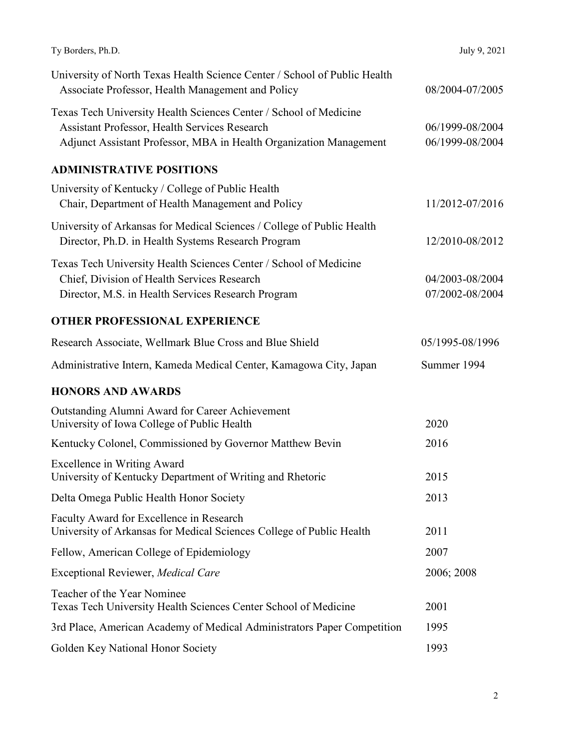| Ty Borders, Ph.D.                                                                                                                                                                        | July 9, 2021                       |
|------------------------------------------------------------------------------------------------------------------------------------------------------------------------------------------|------------------------------------|
| University of North Texas Health Science Center / School of Public Health<br>Associate Professor, Health Management and Policy                                                           | 08/2004-07/2005                    |
| Texas Tech University Health Sciences Center / School of Medicine<br>Assistant Professor, Health Services Research<br>Adjunct Assistant Professor, MBA in Health Organization Management | 06/1999-08/2004<br>06/1999-08/2004 |
| <b>ADMINISTRATIVE POSITIONS</b>                                                                                                                                                          |                                    |
| University of Kentucky / College of Public Health<br>Chair, Department of Health Management and Policy                                                                                   | 11/2012-07/2016                    |
| University of Arkansas for Medical Sciences / College of Public Health<br>Director, Ph.D. in Health Systems Research Program                                                             | 12/2010-08/2012                    |
| Texas Tech University Health Sciences Center / School of Medicine<br>Chief, Division of Health Services Research<br>Director, M.S. in Health Services Research Program                   | 04/2003-08/2004<br>07/2002-08/2004 |
| <b>OTHER PROFESSIONAL EXPERIENCE</b>                                                                                                                                                     |                                    |
| Research Associate, Wellmark Blue Cross and Blue Shield                                                                                                                                  | 05/1995-08/1996                    |
| Administrative Intern, Kameda Medical Center, Kamagowa City, Japan                                                                                                                       | Summer 1994                        |
| <b>HONORS AND AWARDS</b>                                                                                                                                                                 |                                    |
| Outstanding Alumni Award for Career Achievement<br>University of Iowa College of Public Health                                                                                           | 2020                               |
| Kentucky Colonel, Commissioned by Governor Matthew Bevin                                                                                                                                 | 2016                               |
| Excellence in Writing Award<br>University of Kentucky Department of Writing and Rhetoric                                                                                                 | 2015                               |
| Delta Omega Public Health Honor Society                                                                                                                                                  | 2013                               |
| Faculty Award for Excellence in Research<br>University of Arkansas for Medical Sciences College of Public Health                                                                         | 2011                               |
| Fellow, American College of Epidemiology                                                                                                                                                 | 2007                               |
| Exceptional Reviewer, Medical Care                                                                                                                                                       | 2006; 2008                         |
| Teacher of the Year Nominee<br>Texas Tech University Health Sciences Center School of Medicine                                                                                           | 2001                               |
| 3rd Place, American Academy of Medical Administrators Paper Competition                                                                                                                  | 1995                               |
| Golden Key National Honor Society                                                                                                                                                        | 1993                               |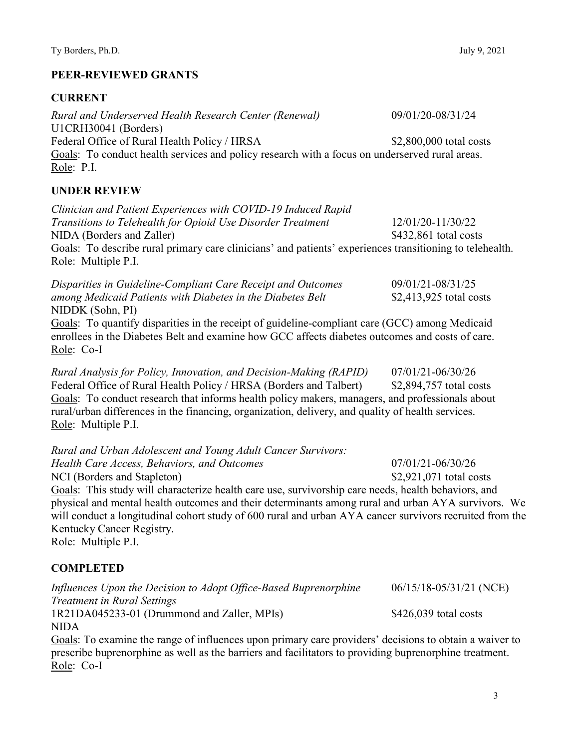### **PEER-REVIEWED GRANTS**

### **CURRENT**

| Rural and Underserved Health Research Center (Renewal)                                         | 09/01/20-08/31/24       |
|------------------------------------------------------------------------------------------------|-------------------------|
| U1CRH30041 (Borders)                                                                           |                         |
| Federal Office of Rural Health Policy / HRSA                                                   | \$2,800,000 total costs |
| Goals: To conduct health services and policy research with a focus on underserved rural areas. |                         |
| Role: P.I.                                                                                     |                         |

### **UNDER REVIEW**

*Clinician and Patient Experiences with COVID-19 Induced Rapid Transitions to Telehealth for Opioid Use Disorder Treatment* 12/01/20-11/30/22 NIDA (Borders and Zaller)  $$432.861$  total costs Goals: To describe rural primary care clinicians' and patients' experiences transitioning to telehealth. Role: Multiple P.I.

*Disparities in Guideline-Compliant Care Receipt and Outcomes* 09/01/21-08/31/25 *among Medicaid Patients with Diabetes in the Diabetes Belt* \$2,413,925 total costs NIDDK (Sohn, PI)

Goals: To quantify disparities in the receipt of guideline-compliant care (GCC) among Medicaid enrollees in the Diabetes Belt and examine how GCC affects diabetes outcomes and costs of care. Role: Co-I

*Rural Analysis for Policy, Innovation, and Decision-Making (RAPID)* 07/01/21-06/30/26 Federal Office of Rural Health Policy / HRSA (Borders and Talbert) \$2,894,757 total costs Goals: To conduct research that informs health policy makers, managers, and professionals about rural/urban differences in the financing, organization, delivery, and quality of health services. Role: Multiple P.I.

*Rural and Urban Adolescent and Young Adult Cancer Survivors: Health Care Access, Behaviors, and Outcomes* 07/01/21-06/30/26 NCI (Borders and Stapleton) \$2,921,071 total costs Goals: This study will characterize health care use, survivorship care needs, health behaviors, and physical and mental health outcomes and their determinants among rural and urban AYA survivors. We will conduct a longitudinal cohort study of 600 rural and urban AYA cancer survivors recruited from the Kentucky Cancer Registry. Role: Multiple P.I. **COMPLETED** 

*Influences Upon the Decision to Adopt Office-Based Buprenorphine* 06/15/18-05/31/21 (NCE) *Treatment in Rural Settings* 1R21DA045233-01 (Drummond and Zaller, MPIs) \$426,039 total costs NIDA

Goals: To examine the range of influences upon primary care providers' decisions to obtain a waiver to prescribe buprenorphine as well as the barriers and facilitators to providing buprenorphine treatment. Role: Co-I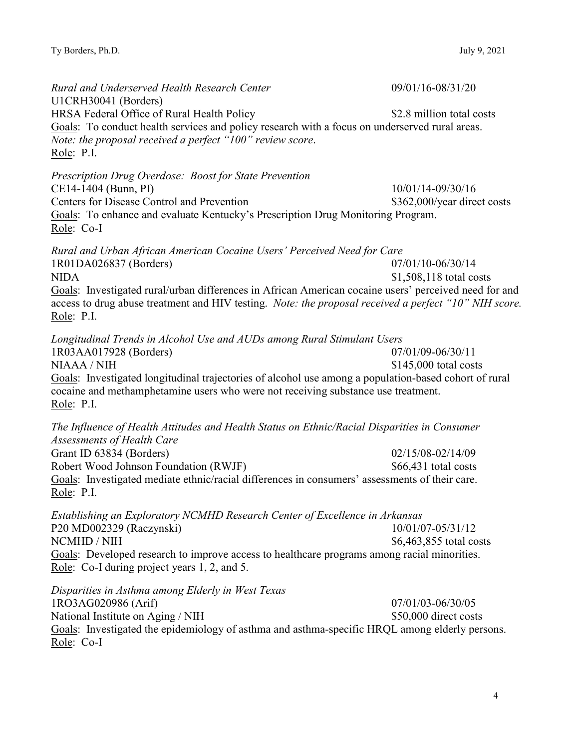*Rural and Underserved Health Research Center* 09/01/16-08/31/20 U1CRH30041 (Borders) HRSA Federal Office of Rural Health Policy \$2.8 million total costs Goals: To conduct health services and policy research with a focus on underserved rural areas. *Note: the proposal received a perfect "100" review score*. Role: P.I. *Prescription Drug Overdose: Boost for State Prevention* CE14-1404 (Bunn, PI) 10/01/14-09/30/16 Centers for Disease Control and Prevention \$362,000/year direct costs Goals: To enhance and evaluate Kentucky's Prescription Drug Monitoring Program. Role: Co-I *Rural and Urban African American Cocaine Users' Perceived Need for Care* 1R01DA026837 (Borders) 07/01/10-06/30/14 NIDA  $$1,508,118$  total costs Goals: Investigated rural/urban differences in African American cocaine users' perceived need for and access to drug abuse treatment and HIV testing. *Note: the proposal received a perfect "10" NIH score.* Role: P.I. *Longitudinal Trends in Alcohol Use and AUDs among Rural Stimulant Users* 1R03AA017928 (Borders) 07/01/09-06/30/11  $NIAAA / NIH$   $$145,000$  total costs Goals: Investigated longitudinal trajectories of alcohol use among a population-based cohort of rural cocaine and methamphetamine users who were not receiving substance use treatment. Role: P.I. *The Influence of Health Attitudes and Health Status on Ethnic/Racial Disparities in Consumer Assessments of Health Care* Grant ID 63834 (Borders) 02/15/08-02/14/09 Robert Wood Johnson Foundation (RWJF)  $$66,431$  total costs Goals: Investigated mediate ethnic/racial differences in consumers' assessments of their care. Role: P.I. *Establishing an Exploratory NCMHD Research Center of Excellence in Arkansas* P20 MD002329 (Raczynski) 10/01/07-05/31/12 NCMHD / NIH  $$6,463,855$  total costs Goals: Developed research to improve access to healthcare programs among racial minorities. Role: Co-I during project years 1, 2, and 5. *Disparities in Asthma among Elderly in West Texas*  1RO3AG020986 (Arif) 07/01/03-06/30/05 National Institute on Aging / NIH  $$50,000$  direct costs Goals: Investigated the epidemiology of asthma and asthma-specific HRQL among elderly persons. Role: Co-I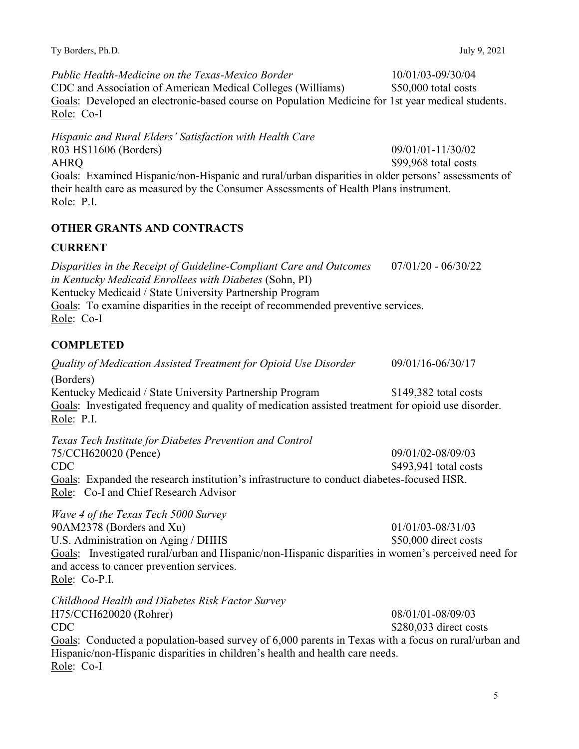Ty Borders, Ph.D. July 9, 2021

*Public Health-Medicine on the Texas-Mexico Border* 10/01/03-09/30/04 CDC and Association of American Medical Colleges (Williams) \$50,000 total costs Goals: Developed an electronic-based course on Population Medicine for 1st year medical students. Role: Co-I

*Hispanic and Rural Elders' Satisfaction with Health Care* 

R03 HS11606 (Borders) 09/01/01-11/30/02 AHRQ \$99,968 total costs Goals: Examined Hispanic/non-Hispanic and rural/urban disparities in older persons' assessments of their health care as measured by the Consumer Assessments of Health Plans instrument. Role: P.I.

## **OTHER GRANTS AND CONTRACTS**

### **CURRENT**

*Disparities in the Receipt of Guideline-Compliant Care and Outcomes* 07/01/20 - 06/30/22 *in Kentucky Medicaid Enrollees with Diabetes* (Sohn, PI) Kentucky Medicaid / State University Partnership Program Goals: To examine disparities in the receipt of recommended preventive services. Role: Co-I

## **COMPLETED**

*Quality of Medication Assisted Treatment for Opioid Use Disorder* 09/01/16-06/30/17 (Borders) Kentucky Medicaid / State University Partnership Program \$149,382 total costs Goals: Investigated frequency and quality of medication assisted treatment for opioid use disorder. Role: P.I. *Texas Tech Institute for Diabetes Prevention and Control* 75/CCH620020 (Pence) 09/01/02-08/09/03 CDC SA93,941 total costs Goals: Expanded the research institution's infrastructure to conduct diabetes-focused HSR. Role: Co-I and Chief Research Advisor *Wave 4 of the Texas Tech 5000 Survey* 90AM2378 (Borders and Xu) 01/01/03-08/31/03 U.S. Administration on Aging / DHHS  $$50,000$  direct costs Goals: Investigated rural/urban and Hispanic/non-Hispanic disparities in women's perceived need for and access to cancer prevention services. Role: Co-P.I. *Childhood Health and Diabetes Risk Factor Survey* H75/CCH620020 (Rohrer) 08/01/01-08/09/03 CDC \$280,033 direct costs Goals: Conducted a population-based survey of 6,000 parents in Texas with a focus on rural/urban and Hispanic/non-Hispanic disparities in children's health and health care needs. Role: Co-I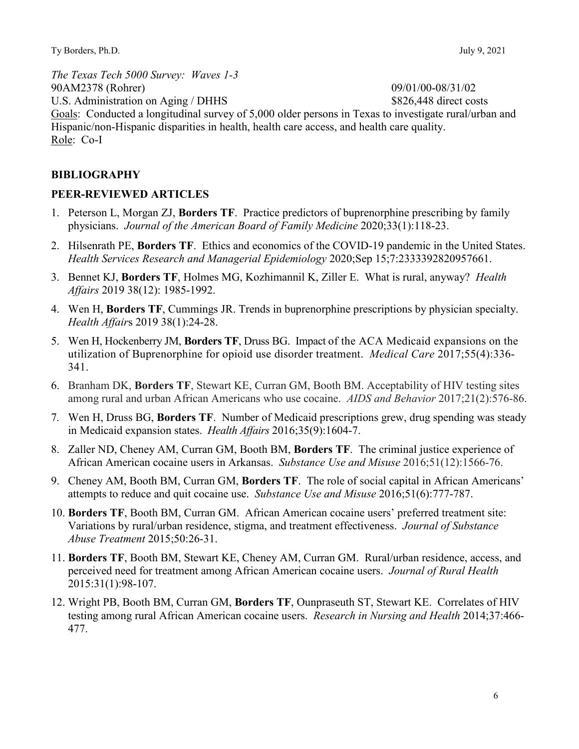*The Texas Tech 5000 Survey: Waves 1-3* 90AM2378 (Rohrer) 09/01/00-08/31/02 U.S. Administration on Aging / DHHS \$826,448 direct costs Goals: Conducted a longitudinal survey of 5,000 older persons in Texas to investigate rural/urban and Hispanic/non-Hispanic disparities in health, health care access, and health care quality. Role: Co-I

### **BIBLIOGRAPHY**

### **PEER-REVIEWED ARTICLES**

- 1. Peterson L, Morgan ZJ, **Borders TF**. Practice predictors of buprenorphine prescribing by family physicians. *Journal of the American Board of Family Medicine* 2020;33(1):118-23.
- 2. Hilsenrath PE, **Borders TF**. Ethics and economics of the COVID-19 pandemic in the United States. *Health Services Research and Managerial Epidemiology* 2020;Sep 15;7:2333392820957661.
- 3. Bennet KJ, **Borders TF**, Holmes MG, Kozhimannil K, Ziller E. What is rural, anyway? *Health Affairs* 2019 38(12): 1985-1992.
- 4. Wen H, **Borders TF**, Cummings JR. Trends in buprenorphine prescriptions by physician specialty. *Health Affair*s 2019 38(1):24-28.
- 5. Wen H, Hockenberry JM, **Borders TF**, Druss BG. Impact of the ACA Medicaid expansions on the utilization of Buprenorphine for opioid use disorder treatment. *Medical Care* 2017;55(4):336- 341.
- 6. Branham DK, **Borders TF**, Stewart KE, Curran GM, Booth BM. Acceptability of HIV testing sites among rural and urban African Americans who use cocaine. *AIDS and Behavior* 2017;21(2):576-86.
- 7. Wen H, Druss BG, **Borders TF**.Number of Medicaid prescriptions grew, drug spending was steady in Medicaid expansion states. *Health Affairs* 2016;35(9):1604-7.
- 8. Zaller ND, Cheney AM, Curran GM, Booth BM, **Borders TF**. The criminal justice experience of African American cocaine users in Arkansas. *Substance Use and Misuse* 2016;51(12):1566-76.
- 9. Cheney AM, Booth BM, Curran GM, **Borders TF**. The role of social capital in African Americans' attempts to reduce and quit cocaine use. *Substance Use and Misuse* 2016;51(6):777-787.
- 10. **Borders TF**, Booth BM, Curran GM. African American cocaine users' preferred treatment site: Variations by rural/urban residence, stigma, and treatment effectiveness. *Journal of Substance Abuse Treatment* 2015;50:26-31.
- 11. **Borders TF**, Booth BM, Stewart KE, Cheney AM, Curran GM. Rural/urban residence, access, and perceived need for treatment among African American cocaine users. *Journal of Rural Health* 2015:31(1):98-107.
- 12. Wright PB, Booth BM, Curran GM, **Borders TF**, Ounpraseuth ST, Stewart KE.Correlates of HIV testing among rural African American cocaine users. *Research in Nursing and Health* 2014;37:466- 477.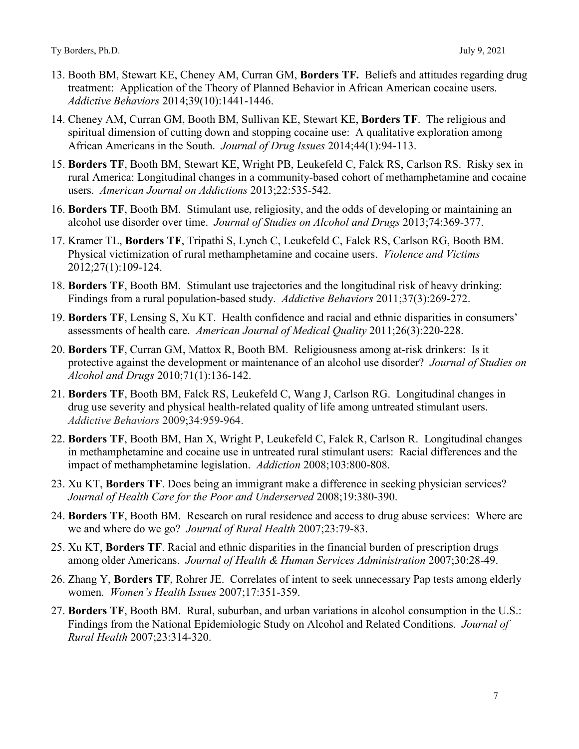- 13. Booth BM, Stewart KE, Cheney AM, Curran GM, **Borders TF.** Beliefs and attitudes regarding drug treatment: Application of the Theory of Planned Behavior in African American cocaine users. *Addictive Behaviors* 2014;39(10):1441-1446.
- 14. Cheney AM, Curran GM, Booth BM, Sullivan KE, Stewart KE, **Borders TF**. The religious and spiritual dimension of cutting down and stopping cocaine use: A qualitative exploration among African Americans in the South. *Journal of Drug Issues* 2014;44(1):94-113.
- 15. **Borders TF**, Booth BM, Stewart KE, Wright PB, Leukefeld C, Falck RS, Carlson RS. Risky sex in rural America: Longitudinal changes in a community-based cohort of methamphetamine and cocaine users. *American Journal on Addictions* 2013;22:535-542.
- 16. **Borders TF**, Booth BM. Stimulant use, religiosity, and the odds of developing or maintaining an alcohol use disorder over time. *Journal of Studies on Alcohol and Drugs* 2013;74:369-377.
- 17. Kramer TL, **Borders TF**, Tripathi S, Lynch C, Leukefeld C, Falck RS, Carlson RG, Booth BM. Physical victimization of rural methamphetamine and cocaine users. *Violence and Victims* 2012;27(1):109-124.
- 18. **Borders TF**, Booth BM. Stimulant use trajectories and the longitudinal risk of heavy drinking: Findings from a rural population-based study. *Addictive Behaviors* 2011;37(3):269-272.
- 19. **Borders TF**, Lensing S, Xu KT. Health confidence and racial and ethnic disparities in consumers' assessments of health care. *American Journal of Medical Quality* 2011;26(3):220-228.
- 20. **Borders TF**, Curran GM, Mattox R, Booth BM. Religiousness among at-risk drinkers: Is it protective against the development or maintenance of an alcohol use disorder? *Journal of Studies on Alcohol and Drugs* 2010;71(1):136-142.
- 21. **Borders TF**, Booth BM, Falck RS, Leukefeld C, Wang J, Carlson RG. Longitudinal changes in drug use severity and physical health-related quality of life among untreated stimulant users. *Addictive Behaviors* 2009;34:959-964.
- 22. **Borders TF**, Booth BM, Han X, Wright P, Leukefeld C, Falck R, Carlson R. Longitudinal changes in methamphetamine and cocaine use in untreated rural stimulant users: Racial differences and the impact of methamphetamine legislation. *Addiction* 2008;103:800-808.
- 23. Xu KT, **Borders TF**. Does being an immigrant make a difference in seeking physician services? *Journal of Health Care for the Poor and Underserved* 2008;19:380-390.
- 24. **Borders TF**, Booth BM. Research on rural residence and access to drug abuse services: Where are we and where do we go? *Journal of Rural Health* 2007;23:79-83.
- 25. Xu KT, **Borders TF**. Racial and ethnic disparities in the financial burden of prescription drugs among older Americans. *Journal of Health & Human Services Administration* 2007;30:28-49.
- 26. Zhang Y, **Borders TF**, Rohrer JE. Correlates of intent to seek unnecessary Pap tests among elderly women. *Women's Health Issues* 2007;17:351-359.
- 27. **Borders TF**, Booth BM. Rural, suburban, and urban variations in alcohol consumption in the U.S.: Findings from the National Epidemiologic Study on Alcohol and Related Conditions. *Journal of Rural Health* 2007;23:314-320.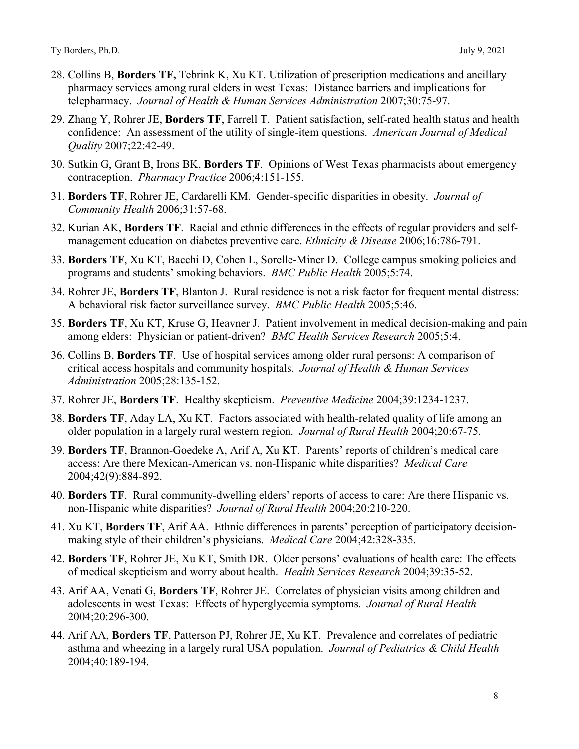- 28. Collins B, **Borders TF,** Tebrink K, Xu KT. Utilization of prescription medications and ancillary pharmacy services among rural elders in west Texas: Distance barriers and implications for telepharmacy. *Journal of Health & Human Services Administration* 2007;30:75-97.
- 29. Zhang Y, Rohrer JE, **Borders TF**, Farrell T. Patient satisfaction, self-rated health status and health confidence: An assessment of the utility of single-item questions. *American Journal of Medical Quality* 2007;22:42-49.
- 30. Sutkin G, Grant B, Irons BK, **Borders TF**. Opinions of West Texas pharmacists about emergency contraception. *Pharmacy Practice* 2006;4:151-155.
- 31. **Borders TF**, Rohrer JE, Cardarelli KM. Gender-specific disparities in obesity. *Journal of Community Health* 2006;31:57-68.
- 32. Kurian AK, **Borders TF**. Racial and ethnic differences in the effects of regular providers and selfmanagement education on diabetes preventive care. *Ethnicity & Disease* 2006;16:786-791.
- 33. **Borders TF**, Xu KT, Bacchi D, Cohen L, Sorelle-Miner D. College campus smoking policies and programs and students' smoking behaviors. *BMC Public Health* 2005;5:74.
- 34. Rohrer JE, **Borders TF**, Blanton J. Rural residence is not a risk factor for frequent mental distress: A behavioral risk factor surveillance survey. *BMC Public Health* 2005;5:46.
- 35. **Borders TF**, Xu KT, Kruse G, Heavner J. Patient involvement in medical decision-making and pain among elders: Physician or patient-driven? *BMC Health Services Research* 2005;5:4.
- 36. Collins B, **Borders TF**. Use of hospital services among older rural persons: A comparison of critical access hospitals and community hospitals. *Journal of Health & Human Services Administration* 2005;28:135-152.
- 37. Rohrer JE, **Borders TF**. Healthy skepticism. *Preventive Medicine* 2004;39:1234-1237.
- 38. **Borders TF**, Aday LA, Xu KT. Factors associated with health-related quality of life among an older population in a largely rural western region. *Journal of Rural Health* 2004;20:67-75.
- 39. **Borders TF**, Brannon-Goedeke A, Arif A, Xu KT. Parents' reports of children's medical care access: Are there Mexican-American vs. non-Hispanic white disparities? *Medical Care* 2004;42(9):884-892.
- 40. **Borders TF**. Rural community-dwelling elders' reports of access to care: Are there Hispanic vs. non-Hispanic white disparities? *Journal of Rural Health* 2004;20:210-220.
- 41. Xu KT, **Borders TF**, Arif AA. Ethnic differences in parents' perception of participatory decisionmaking style of their children's physicians. *Medical Care* 2004;42:328-335.
- 42. **Borders TF**, Rohrer JE, Xu KT, Smith DR. Older persons' evaluations of health care: The effects of medical skepticism and worry about health. *Health Services Research* 2004;39:35-52.
- 43. Arif AA, Venati G, **Borders TF**, Rohrer JE. Correlates of physician visits among children and adolescents in west Texas: Effects of hyperglycemia symptoms. *Journal of Rural Health* 2004;20:296-300.
- 44. Arif AA, **Borders TF**, Patterson PJ, Rohrer JE, Xu KT. Prevalence and correlates of pediatric asthma and wheezing in a largely rural USA population. *Journal of Pediatrics & Child Health*  2004;40:189-194.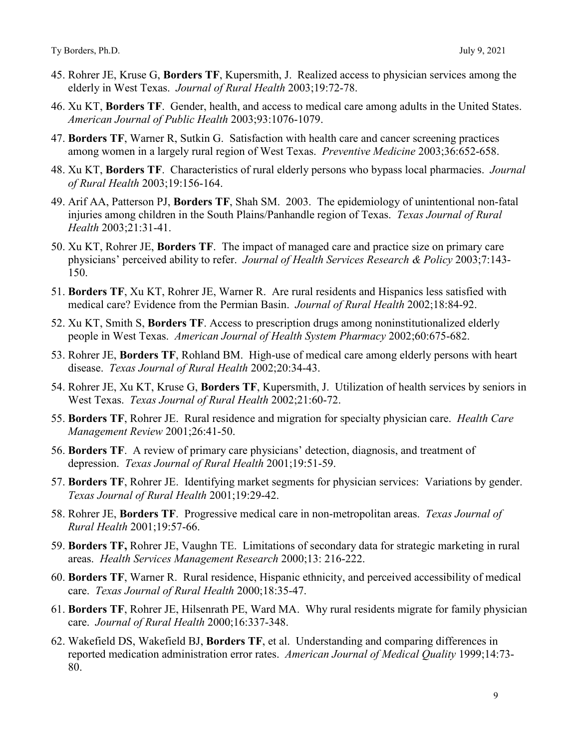- 45. Rohrer JE, Kruse G, **Borders TF**, Kupersmith, J. Realized access to physician services among the elderly in West Texas. *Journal of Rural Health* 2003;19:72-78.
- 46. Xu KT, **Borders TF**. Gender, health, and access to medical care among adults in the United States. *American Journal of Public Health* 2003;93:1076-1079.
- 47. **Borders TF**, Warner R, Sutkin G. Satisfaction with health care and cancer screening practices among women in a largely rural region of West Texas. *Preventive Medicine* 2003;36:652-658.
- 48. Xu KT, **Borders TF**. Characteristics of rural elderly persons who bypass local pharmacies. *Journal of Rural Health* 2003;19:156-164.
- 49. Arif AA, Patterson PJ, **Borders TF**, Shah SM. 2003. The epidemiology of unintentional non-fatal injuries among children in the South Plains/Panhandle region of Texas. *Texas Journal of Rural Health* 2003;21:31-41.
- 50. Xu KT, Rohrer JE, **Borders TF**. The impact of managed care and practice size on primary care physicians' perceived ability to refer. *Journal of Health Services Research & Policy* 2003;7:143- 150.
- 51. **Borders TF**, Xu KT, Rohrer JE, Warner R. Are rural residents and Hispanics less satisfied with medical care? Evidence from the Permian Basin. *Journal of Rural Health* 2002;18:84-92.
- 52. Xu KT, Smith S, **Borders TF**. Access to prescription drugs among noninstitutionalized elderly people in West Texas. *American Journal of Health System Pharmacy* 2002;60:675-682.
- 53. Rohrer JE, **Borders TF**, Rohland BM. High-use of medical care among elderly persons with heart disease. *Texas Journal of Rural Health* 2002;20:34-43.
- 54. Rohrer JE, Xu KT, Kruse G, **Borders TF**, Kupersmith, J. Utilization of health services by seniors in West Texas. *Texas Journal of Rural Health* 2002;21:60-72.
- 55. **Borders TF**, Rohrer JE. Rural residence and migration for specialty physician care. *Health Care Management Review* 2001;26:41-50.
- 56. **Borders TF**. A review of primary care physicians' detection, diagnosis, and treatment of depression. *Texas Journal of Rural Health* 2001;19:51-59.
- 57. **Borders TF**, Rohrer JE. Identifying market segments for physician services: Variations by gender. *Texas Journal of Rural Health* 2001;19:29-42.
- 58. Rohrer JE, **Borders TF**. Progressive medical care in non-metropolitan areas. *Texas Journal of Rural Health* 2001;19:57-66.
- 59. **Borders TF,** Rohrer JE, Vaughn TE. Limitations of secondary data for strategic marketing in rural areas. *Health Services Management Research* 2000;13: 216-222.
- 60. **Borders TF**, Warner R. Rural residence, Hispanic ethnicity, and perceived accessibility of medical care. *Texas Journal of Rural Health* 2000;18:35-47.
- 61. **Borders TF**, Rohrer JE, Hilsenrath PE, Ward MA. Why rural residents migrate for family physician care. *Journal of Rural Health* 2000;16:337-348.
- 62. Wakefield DS, Wakefield BJ, **Borders TF**, et al. Understanding and comparing differences in reported medication administration error rates. *American Journal of Medical Quality* 1999;14:73- 80.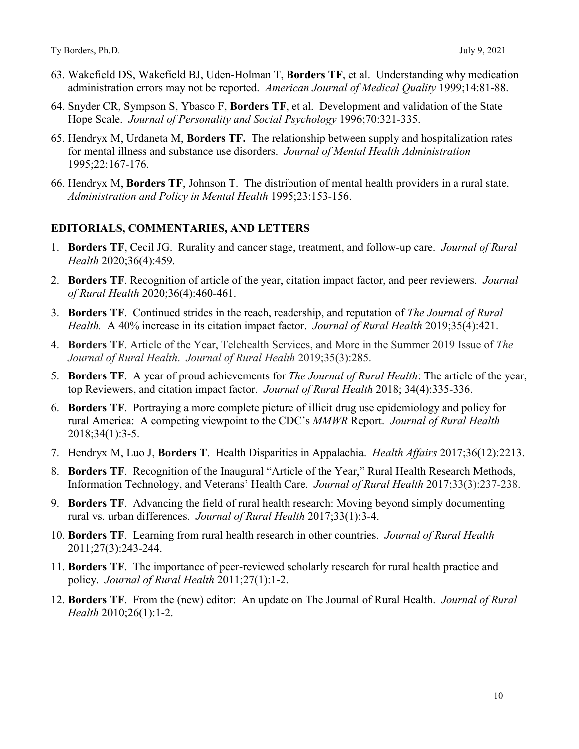- 63. Wakefield DS, Wakefield BJ, Uden-Holman T, **Borders TF**, et al. Understanding why medication administration errors may not be reported. *American Journal of Medical Quality* 1999;14:81-88.
- 64. Snyder CR, Sympson S, Ybasco F, **Borders TF**, et al. Development and validation of the State Hope Scale. *Journal of Personality and Social Psychology* 1996;70:321-335.
- 65. Hendryx M, Urdaneta M, **Borders TF.** The relationship between supply and hospitalization rates for mental illness and substance use disorders. *Journal of Mental Health Administration*  1995;22:167-176.
- 66. Hendryx M, **Borders TF**, Johnson T. The distribution of mental health providers in a rural state. *Administration and Policy in Mental Health* 1995;23:153-156.

### **EDITORIALS, COMMENTARIES, AND LETTERS**

- 1. **Borders TF**, Cecil JG. Rurality and cancer stage, treatment, and follow‐up care. *Journal of Rural Health* 2020;36(4):459.
- 2. **Borders TF**. [Recognition of article of the year, citation impact](https://onlinelibrary.wiley.com/doi/10.1111/jrh.12521) factor, and peer reviewers. *Journal of Rural Health* 2020;36(4):460-461.
- 3. **Borders TF**. Continued strides in the reach, readership, and reputation of *The Journal of Rural Health.* A 40% increase in its citation impact factor. *Journal of Rural Health* 2019;35(4):421.
- 4. **Borders TF**. Article of the Year, Telehealth Services, and More in the Summer 2019 Issue of *The Journal of Rural Health*. *Journal of Rural Health* 2019;35(3):285.
- 5. **Borders TF**. A year of proud achievements for *The Journal of Rural Health*: The article of the year, top Reviewers, and citation impact factor. *Journal of Rural Health* 2018; 34(4):335-336.
- 6. **Borders TF**. Portraying a more complete picture of illicit drug use epidemiology and policy for rural America: A competing viewpoint to the CDC's *MMWR* Report. *Journal of Rural Health*  2018;34(1):3-5.
- 7. Hendryx M, Luo J, **Borders T**. Health Disparities in Appalachia. *Health Affairs* 2017;36(12):2213.
- 8. **Borders TF**. Recognition of the Inaugural "Article of the Year," Rural Health Research Methods, Information Technology, and Veterans' Health Care. *Journal of Rural Health* 2017;33(3):237-238.
- 9. **Borders TF**. Advancing the field of rural health research: Moving beyond simply documenting rural vs. urban differences. *Journal of Rural Health* 2017;33(1):3-4.
- 10. **Borders TF**. Learning from rural health research in other countries. *Journal of Rural Health* 2011;27(3):243-244.
- 11. **Borders TF**. The importance of peer-reviewed scholarly research for rural health practice and policy. *Journal of Rural Health* 2011;27(1):1-2.
- 12. **Borders TF**. From the (new) editor: An update on The Journal of Rural Health. *Journal of Rural Health* 2010;26(1):1-2.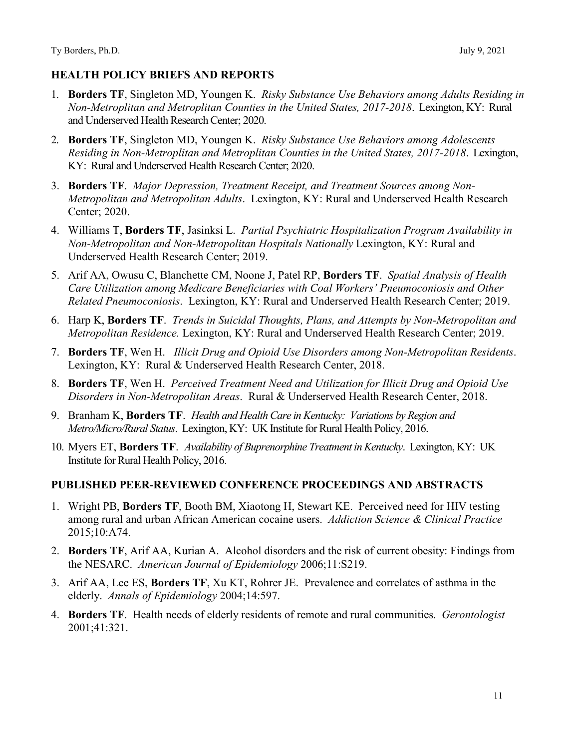### **HEALTH POLICY BRIEFS AND REPORTS**

- 1. **Borders TF**, Singleton MD, Youngen K. *Risky Substance Use Behaviors among Adults Residing in Non-Metroplitan and Metroplitan Counties in the United States, 2017-2018*. Lexington, KY: Rural and Underserved Health Research Center; 2020.
- 2. **Borders TF**, Singleton MD, Youngen K. *Risky Substance Use Behaviors among Adolescents Residing in Non-Metroplitan and Metroplitan Counties in the United States, 2017-2018*. Lexington, KY: Rural and Underserved Health Research Center; 2020.
- 3. **Borders TF**. *Major Depression, Treatment Receipt, and Treatment Sources among Non-Metropolitan and Metropolitan Adults*. Lexington, KY: Rural and Underserved Health Research Center; 2020.
- 4. Williams T, **Borders TF**, Jasinksi L. *Partial Psychiatric Hospitalization Program Availability in Non-Metropolitan and Non-Metropolitan Hospitals Nationally* Lexington, KY: Rural and Underserved Health Research Center; 2019.
- 5. Arif AA, Owusu C, Blanchette CM, Noone J, Patel RP, **Borders TF**. *Spatial Analysis of Health Care Utilization among Medicare Beneficiaries with Coal Workers' Pneumoconiosis and Other Related Pneumoconiosis*. Lexington, KY: Rural and Underserved Health Research Center; 2019.
- 6. Harp K, **Borders TF**. *Trends in Suicidal Thoughts, Plans, and Attempts by Non-Metropolitan and Metropolitan Residence.* Lexington, KY: Rural and Underserved Health Research Center; 2019.
- 7. **Borders TF**, Wen H. *Illicit Drug and Opioid Use Disorders among Non-Metropolitan Residents*. Lexington, KY: Rural & Underserved Health Research Center, 2018.
- 8. **Borders TF**, Wen H. *Perceived Treatment Need and Utilization for Illicit Drug and Opioid Use Disorders in Non-Metropolitan Areas*. Rural & Underserved Health Research Center, 2018.
- 9. Branham K, **Borders TF**. *Health and Health Care in Kentucky: Variations by Region and Metro/Micro/Rural Status*. Lexington, KY: UK Institute for Rural Health Policy, 2016.
- 10. Myers ET, **Borders TF**. *Availability of Buprenorphine Treatment in Kentucky*. Lexington, KY: UK Institute for Rural Health Policy, 2016.

### **PUBLISHED PEER-REVIEWED CONFERENCE PROCEEDINGS AND ABSTRACTS**

- 1. Wright PB, **Borders TF**, Booth BM, Xiaotong H, Stewart KE. Perceived need for HIV testing among rural and urban African American cocaine users. *Addiction Science & Clinical Practice* 2015;10:A74.
- 2. **Borders TF**, Arif AA, Kurian A. Alcohol disorders and the risk of current obesity: Findings from the NESARC. *American Journal of Epidemiology* 2006;11:S219.
- 3. Arif AA, Lee ES, **Borders TF**, Xu KT, Rohrer JE. Prevalence and correlates of asthma in the elderly. *Annals of Epidemiology* 2004;14:597.
- 4. **Borders TF**. Health needs of elderly residents of remote and rural communities. *Gerontologist* 2001;41:321.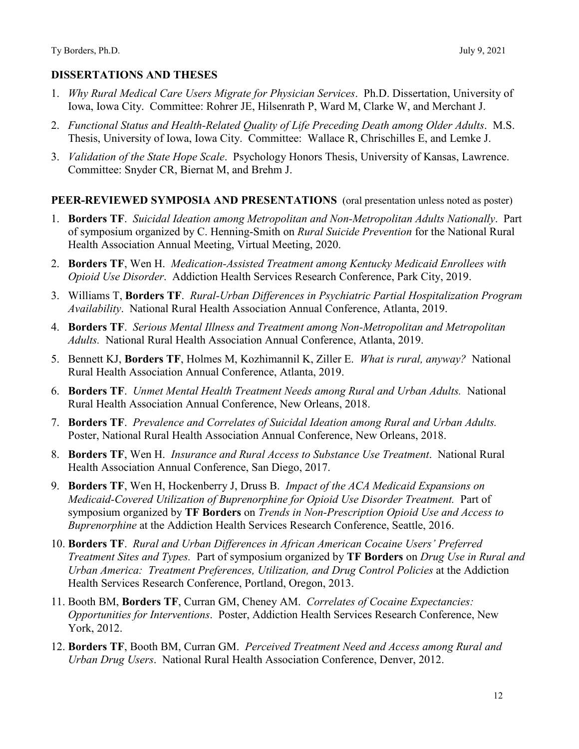- 1. *Why Rural Medical Care Users Migrate for Physician Services*. Ph.D. Dissertation, University of Iowa, Iowa City. Committee: Rohrer JE, Hilsenrath P, Ward M, Clarke W, and Merchant J.
- 2. *Functional Status and Health-Related Quality of Life Preceding Death among Older Adults*. M.S. Thesis, University of Iowa, Iowa City. Committee: Wallace R, Chrischilles E, and Lemke J.
- 3. *Validation of the State Hope Scale*. Psychology Honors Thesis, University of Kansas, Lawrence. Committee: Snyder CR, Biernat M, and Brehm J.

### **PEER-REVIEWED SYMPOSIA AND PRESENTATIONS** (oral presentation unless noted as poster)

- 1. **Borders TF**. *Suicidal Ideation among Metropolitan and Non-Metropolitan Adults Nationally*. Part of symposium organized by C. Henning-Smith on *Rural Suicide Prevention* for the National Rural Health Association Annual Meeting, Virtual Meeting, 2020.
- 2. **Borders TF**, Wen H. *Medication-Assisted Treatment among Kentucky Medicaid Enrollees with Opioid Use Disorder*. Addiction Health Services Research Conference, Park City, 2019.
- 3. Williams T, **Borders TF**. *Rural-Urban Differences in Psychiatric Partial Hospitalization Program Availability*. National Rural Health Association Annual Conference, Atlanta, 2019.
- 4. **Borders TF**. *Serious Mental Illness and Treatment among Non-Metropolitan and Metropolitan Adults.* National Rural Health Association Annual Conference, Atlanta, 2019.
- 5. Bennett KJ, **Borders TF**, Holmes M, Kozhimannil K, Ziller E. *What is rural, anyway?* National Rural Health Association Annual Conference, Atlanta, 2019.
- 6. **Borders TF**. *Unmet Mental Health Treatment Needs among Rural and Urban Adults.* National Rural Health Association Annual Conference, New Orleans, 2018.
- 7. **Borders TF**. *Prevalence and Correlates of Suicidal Ideation among Rural and Urban Adults.*  Poster, National Rural Health Association Annual Conference, New Orleans, 2018.
- 8. **Borders TF**, Wen H. *Insurance and Rural Access to Substance Use Treatment*. National Rural Health Association Annual Conference, San Diego, 2017.
- 9. **Borders TF**, Wen H, Hockenberry J, Druss B. *Impact of the ACA Medicaid Expansions on Medicaid-Covered Utilization of Buprenorphine for Opioid Use Disorder Treatment.* Part of symposium organized by **TF Borders** on *Trends in Non-Prescription Opioid Use and Access to Buprenorphine* at the Addiction Health Services Research Conference, Seattle, 2016.
- 10. **Borders TF**. *Rural and Urban Differences in African American Cocaine Users' Preferred Treatment Sites and Types.* Part of symposium organized by **TF Borders** on *Drug Use in Rural and Urban America: Treatment Preferences, Utilization, and Drug Control Policies* at the Addiction Health Services Research Conference, Portland, Oregon, 2013.
- 11. Booth BM, **Borders TF**, Curran GM, Cheney AM. *Correlates of Cocaine Expectancies: Opportunities for Interventions*. Poster, Addiction Health Services Research Conference, New York, 2012.
- 12. **Borders TF**, Booth BM, Curran GM. *Perceived Treatment Need and Access among Rural and Urban Drug Users*. National Rural Health Association Conference, Denver, 2012.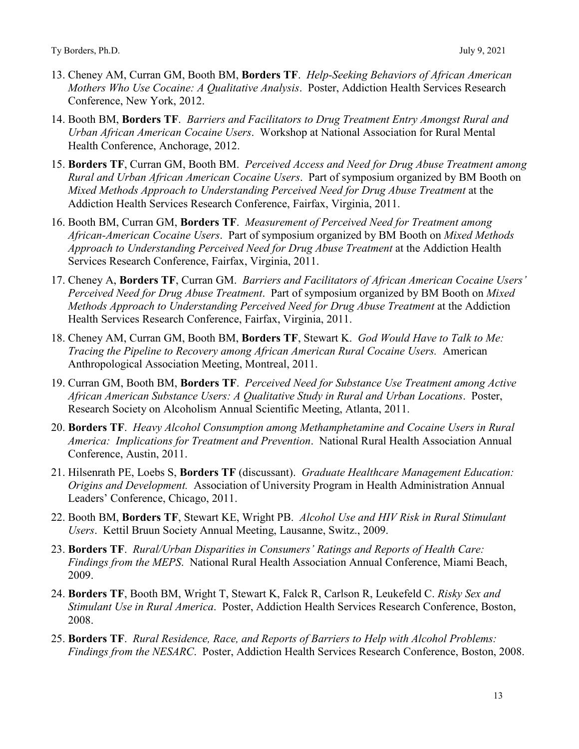- 13. Cheney AM, Curran GM, Booth BM, **Borders TF**. *Help-Seeking Behaviors of African American Mothers Who Use Cocaine: A Qualitative Analysis*. Poster, Addiction Health Services Research Conference, New York, 2012.
- 14. Booth BM, **Borders TF**. *Barriers and Facilitators to Drug Treatment Entry Amongst Rural and Urban African American Cocaine Users*. Workshop at National Association for Rural Mental Health Conference, Anchorage, 2012.
- 15. **Borders TF**, Curran GM, Booth BM. *Perceived Access and Need for Drug Abuse Treatment among Rural and Urban African American Cocaine Users*. Part of symposium organized by BM Booth on *Mixed Methods Approach to Understanding Perceived Need for Drug Abuse Treatment* at the Addiction Health Services Research Conference, Fairfax, Virginia, 2011.
- 16. Booth BM, Curran GM, **Borders TF**. *Measurement of Perceived Need for Treatment among African-American Cocaine Users*. Part of symposium organized by BM Booth on *Mixed Methods Approach to Understanding Perceived Need for Drug Abuse Treatment* at the Addiction Health Services Research Conference, Fairfax, Virginia, 2011.
- 17. Cheney A, **Borders TF**, Curran GM. *Barriers and Facilitators of African American Cocaine Users' Perceived Need for Drug Abuse Treatment*. Part of symposium organized by BM Booth on *Mixed Methods Approach to Understanding Perceived Need for Drug Abuse Treatment* at the Addiction Health Services Research Conference, Fairfax, Virginia, 2011.
- 18. Cheney AM, Curran GM, Booth BM, **Borders TF**, Stewart K. *God Would Have to Talk to Me: Tracing the Pipeline to Recovery among African American Rural Cocaine Users.* American Anthropological Association Meeting, Montreal, 2011.
- 19. Curran GM, Booth BM, **Borders TF**. *Perceived Need for Substance Use Treatment among Active African American Substance Users: A Qualitative Study in Rural and Urban Locations*. Poster, Research Society on Alcoholism Annual Scientific Meeting, Atlanta, 2011.
- 20. **Borders TF**. *Heavy Alcohol Consumption among Methamphetamine and Cocaine Users in Rural America: Implications for Treatment and Prevention*. National Rural Health Association Annual Conference, Austin, 2011.
- 21. Hilsenrath PE, Loebs S, **Borders TF** (discussant). *Graduate Healthcare Management Education: Origins and Development.* Association of University Program in Health Administration Annual Leaders' Conference, Chicago, 2011.
- 22. Booth BM, **Borders TF**, Stewart KE, Wright PB. *Alcohol Use and HIV Risk in Rural Stimulant Users*. Kettil Bruun Society Annual Meeting, Lausanne, Switz., 2009.
- 23. **Borders TF**. *Rural/Urban Disparities in Consumers' Ratings and Reports of Health Care: Findings from the MEPS*. National Rural Health Association Annual Conference, Miami Beach, 2009.
- 24. **Borders TF**, Booth BM, Wright T, Stewart K, Falck R, Carlson R, Leukefeld C. *Risky Sex and Stimulant Use in Rural America*. Poster, Addiction Health Services Research Conference, Boston, 2008.
- 25. **Borders TF**. *Rural Residence, Race, and Reports of Barriers to Help with Alcohol Problems: Findings from the NESARC*. Poster, Addiction Health Services Research Conference, Boston, 2008.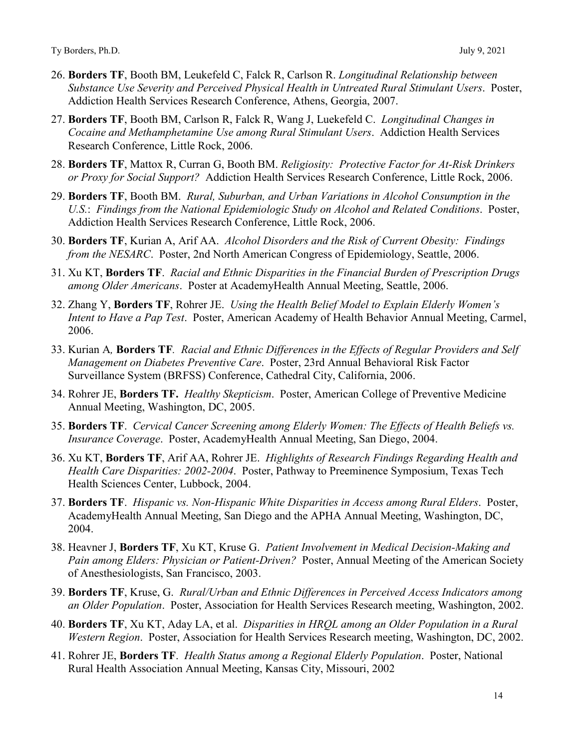- 26. **Borders TF**, Booth BM, Leukefeld C, Falck R, Carlson R. *Longitudinal Relationship between Substance Use Severity and Perceived Physical Health in Untreated Rural Stimulant Users*. Poster, Addiction Health Services Research Conference, Athens, Georgia, 2007.
- 27. **Borders TF**, Booth BM, Carlson R, Falck R, Wang J, Luekefeld C. *Longitudinal Changes in Cocaine and Methamphetamine Use among Rural Stimulant Users*. Addiction Health Services Research Conference, Little Rock, 2006.
- 28. **Borders TF**, Mattox R, Curran G, Booth BM. *Religiosity: Protective Factor for At-Risk Drinkers or Proxy for Social Support?* Addiction Health Services Research Conference, Little Rock, 2006.
- 29. **Borders TF**, Booth BM. *Rural, Suburban, and Urban Variations in Alcohol Consumption in the U.S.*: *Findings from the National Epidemiologic Study on Alcohol and Related Conditions*. Poster, Addiction Health Services Research Conference, Little Rock, 2006.
- 30. **Borders TF**, Kurian A, Arif AA. *Alcohol Disorders and the Risk of Current Obesity: Findings from the NESARC*. Poster, 2nd North American Congress of Epidemiology, Seattle, 2006.
- 31. Xu KT, **Borders TF**. *Racial and Ethnic Disparities in the Financial Burden of Prescription Drugs among Older Americans*. Poster at AcademyHealth Annual Meeting, Seattle, 2006.
- 32. Zhang Y, **Borders TF**, Rohrer JE. *Using the Health Belief Model to Explain Elderly Women's Intent to Have a Pap Test*. Poster, American Academy of Health Behavior Annual Meeting, Carmel, 2006.
- 33. Kurian A*,* **Borders TF***. Racial and Ethnic Differences in the Effects of Regular Providers and Self Management on Diabetes Preventive Care*. Poster, 23rd Annual Behavioral Risk Factor Surveillance System (BRFSS) Conference, Cathedral City, California, 2006.
- 34. Rohrer JE, **Borders TF.** *Healthy Skepticism*. Poster, American College of Preventive Medicine Annual Meeting, Washington, DC, 2005.
- 35. **Borders TF**. *Cervical Cancer Screening among Elderly Women: The Effects of Health Beliefs vs. Insurance Coverage*. Poster, AcademyHealth Annual Meeting, San Diego, 2004.
- 36. Xu KT, **Borders TF**, Arif AA, Rohrer JE. *Highlights of Research Findings Regarding Health and Health Care Disparities: 2002-2004*. Poster, Pathway to Preeminence Symposium, Texas Tech Health Sciences Center, Lubbock, 2004.
- 37. **Borders TF**. *Hispanic vs. Non-Hispanic White Disparities in Access among Rural Elders*. Poster, AcademyHealth Annual Meeting, San Diego and the APHA Annual Meeting, Washington, DC, 2004.
- 38. Heavner J, **Borders TF**, Xu KT, Kruse G. *Patient Involvement in Medical Decision-Making and Pain among Elders: Physician or Patient-Driven?* Poster, Annual Meeting of the American Society of Anesthesiologists, San Francisco, 2003.
- 39. **Borders TF**, Kruse, G. *Rural/Urban and Ethnic Differences in Perceived Access Indicators among an Older Population*. Poster, Association for Health Services Research meeting, Washington, 2002.
- 40. **Borders TF**, Xu KT, Aday LA, et al. *Disparities in HRQL among an Older Population in a Rural Western Region*. Poster, Association for Health Services Research meeting, Washington, DC, 2002.
- 41. Rohrer JE, **Borders TF**. *Health Status among a Regional Elderly Population*. Poster, National Rural Health Association Annual Meeting, Kansas City, Missouri, 2002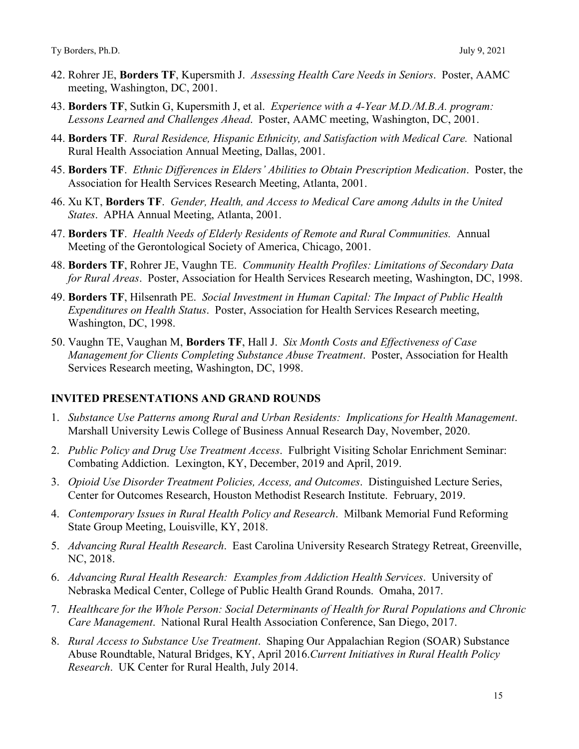- 42. Rohrer JE, **Borders TF**, Kupersmith J. *Assessing Health Care Needs in Seniors*. Poster, AAMC meeting, Washington, DC, 2001.
- 43. **Borders TF**, Sutkin G, Kupersmith J, et al. *Experience with a 4-Year M.D./M.B.A. program: Lessons Learned and Challenges Ahead*. Poster, AAMC meeting, Washington, DC, 2001.
- 44. **Borders TF**. *Rural Residence, Hispanic Ethnicity, and Satisfaction with Medical Care.* National Rural Health Association Annual Meeting, Dallas, 2001.
- 45. **Borders TF**. *Ethnic Differences in Elders' Abilities to Obtain Prescription Medication*. Poster, the Association for Health Services Research Meeting, Atlanta, 2001.
- 46. Xu KT, **Borders TF**. *Gender, Health, and Access to Medical Care among Adults in the United States*.APHA Annual Meeting, Atlanta, 2001.
- 47. **Borders TF**. *Health Needs of Elderly Residents of Remote and Rural Communities.* Annual Meeting of the Gerontological Society of America, Chicago, 2001.
- 48. **Borders TF**, Rohrer JE, Vaughn TE. *Community Health Profiles: Limitations of Secondary Data for Rural Areas*. Poster, Association for Health Services Research meeting, Washington, DC, 1998.
- 49. **Borders TF**, Hilsenrath PE. *Social Investment in Human Capital: The Impact of Public Health Expenditures on Health Status*. Poster, Association for Health Services Research meeting, Washington, DC, 1998.
- 50. Vaughn TE, Vaughan M, **Borders TF**, Hall J. *Six Month Costs and Effectiveness of Case Management for Clients Completing Substance Abuse Treatment*. Poster, Association for Health Services Research meeting, Washington, DC, 1998.

### **INVITED PRESENTATIONS AND GRAND ROUNDS**

- 1. *Substance Use Patterns among Rural and Urban Residents: Implications for Health Management*. Marshall University Lewis College of Business Annual Research Day, November, 2020.
- 2. *Public Policy and Drug Use Treatment Access*. Fulbright Visiting Scholar Enrichment Seminar: Combating Addiction.Lexington, KY, December, 2019 and April, 2019.
- 3. *Opioid Use Disorder Treatment Policies, Access, and Outcomes*. Distinguished Lecture Series, Center for Outcomes Research, Houston Methodist Research Institute. February, 2019.
- 4. *Contemporary Issues in Rural Health Policy and Research*. Milbank Memorial Fund Reforming State Group Meeting, Louisville, KY, 2018.
- 5. *Advancing Rural Health Research*. East Carolina University Research Strategy Retreat, Greenville, NC, 2018.
- 6. *Advancing Rural Health Research: Examples from Addiction Health Services*. University of Nebraska Medical Center, College of Public Health Grand Rounds. Omaha, 2017.
- 7. *Healthcare for the Whole Person: Social Determinants of Health for Rural Populations and Chronic Care Management*. National Rural Health Association Conference, San Diego, 2017.
- 8. *Rural Access to Substance Use Treatment*. Shaping Our Appalachian Region (SOAR) Substance Abuse Roundtable, Natural Bridges, KY, April 2016.*Current Initiatives in Rural Health Policy Research*. UK Center for Rural Health, July 2014.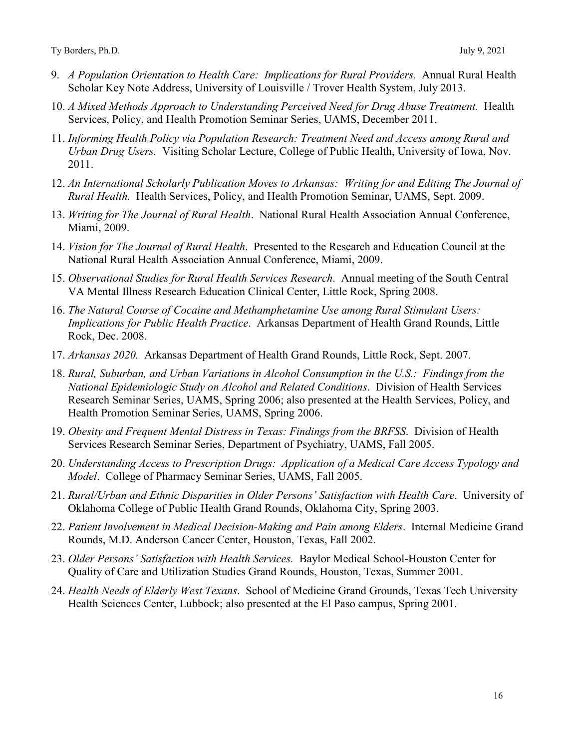- 9. *A Population Orientation to Health Care: Implications for Rural Providers.* Annual Rural Health Scholar Key Note Address, University of Louisville / Trover Health System, July 2013.
- 10. *A Mixed Methods Approach to Understanding Perceived Need for Drug Abuse Treatment.* Health Services, Policy, and Health Promotion Seminar Series, UAMS, December 2011.
- 11. *Informing Health Policy via Population Research: Treatment Need and Access among Rural and Urban Drug Users.* Visiting Scholar Lecture, College of Public Health, University of Iowa, Nov. 2011.
- 12. *An International Scholarly Publication Moves to Arkansas: Writing for and Editing The Journal of Rural Health.* Health Services, Policy, and Health Promotion Seminar, UAMS, Sept. 2009.
- 13. *Writing for The Journal of Rural Health*. National Rural Health Association Annual Conference, Miami, 2009.
- 14. *Vision for The Journal of Rural Health*. Presented to the Research and Education Council at the National Rural Health Association Annual Conference, Miami, 2009.
- 15. *Observational Studies for Rural Health Services Research*. Annual meeting of the South Central VA Mental Illness Research Education Clinical Center, Little Rock, Spring 2008.
- 16. *The Natural Course of Cocaine and Methamphetamine Use among Rural Stimulant Users: Implications for Public Health Practice*. Arkansas Department of Health Grand Rounds, Little Rock, Dec. 2008.
- 17. *Arkansas 2020.* Arkansas Department of Health Grand Rounds, Little Rock, Sept. 2007.
- 18. *Rural, Suburban, and Urban Variations in Alcohol Consumption in the U.S.: Findings from the National Epidemiologic Study on Alcohol and Related Conditions*. Division of Health Services Research Seminar Series, UAMS, Spring 2006; also presented at the Health Services, Policy, and Health Promotion Seminar Series, UAMS, Spring 2006.
- 19. *Obesity and Frequent Mental Distress in Texas: Findings from the BRFSS*. Division of Health Services Research Seminar Series, Department of Psychiatry, UAMS, Fall 2005.
- 20. *Understanding Access to Prescription Drugs: Application of a Medical Care Access Typology and Model*. College of Pharmacy Seminar Series, UAMS, Fall 2005.
- 21. *Rural/Urban and Ethnic Disparities in Older Persons' Satisfaction with Health Care*. University of Oklahoma College of Public Health Grand Rounds, Oklahoma City, Spring 2003.
- 22. *Patient Involvement in Medical Decision-Making and Pain among Elders*. Internal Medicine Grand Rounds, M.D. Anderson Cancer Center, Houston, Texas, Fall 2002.
- 23. *Older Persons' Satisfaction with Health Services.* Baylor Medical School-Houston Center for Quality of Care and Utilization Studies Grand Rounds, Houston, Texas, Summer 2001.
- 24. *Health Needs of Elderly West Texans*. School of Medicine Grand Grounds, Texas Tech University Health Sciences Center, Lubbock; also presented at the El Paso campus, Spring 2001.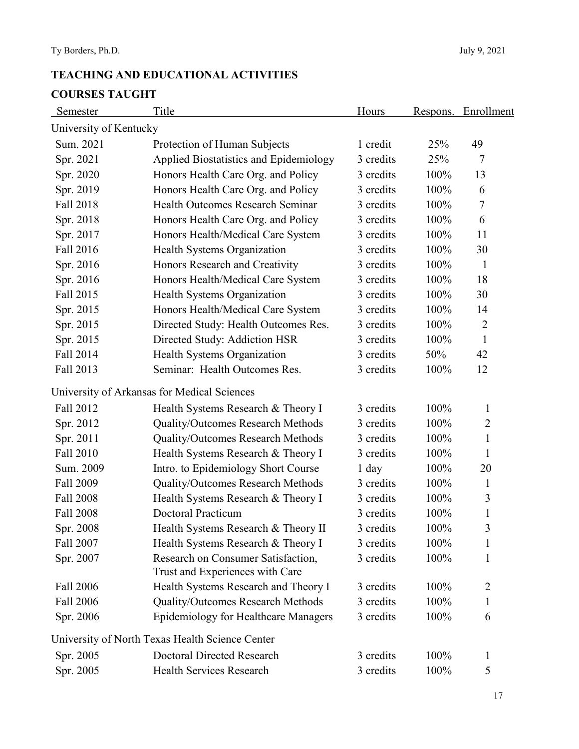# **TEACHING AND EDUCATIONAL ACTIVITIES COURSES TAUGHT**

| Semester               | Title                                                                 | Hours     | <u>Respons.</u> | Enrollment     |
|------------------------|-----------------------------------------------------------------------|-----------|-----------------|----------------|
| University of Kentucky |                                                                       |           |                 |                |
| Sum. 2021              | Protection of Human Subjects                                          | 1 credit  | 25%             | 49             |
| Spr. 2021              | Applied Biostatistics and Epidemiology                                | 3 credits | 25%             | 7              |
| Spr. 2020              | Honors Health Care Org. and Policy                                    | 3 credits | 100%            | 13             |
| Spr. 2019              | Honors Health Care Org. and Policy                                    | 3 credits | 100%            | 6              |
| Fall 2018              | Health Outcomes Research Seminar                                      | 3 credits | 100%            | $\tau$         |
| Spr. 2018              | Honors Health Care Org. and Policy                                    | 3 credits | 100%            | 6              |
| Spr. 2017              | Honors Health/Medical Care System                                     | 3 credits | 100%            | 11             |
| Fall 2016              | Health Systems Organization                                           | 3 credits | 100%            | 30             |
| Spr. 2016              | Honors Research and Creativity                                        | 3 credits | 100%            | $\mathbf{1}$   |
| Spr. 2016              | Honors Health/Medical Care System                                     | 3 credits | 100%            | 18             |
| Fall 2015              | Health Systems Organization                                           | 3 credits | 100%            | 30             |
| Spr. 2015              | Honors Health/Medical Care System                                     | 3 credits | 100%            | 14             |
| Spr. 2015              | Directed Study: Health Outcomes Res.                                  | 3 credits | 100%            | $\overline{2}$ |
| Spr. 2015              | Directed Study: Addiction HSR                                         | 3 credits | 100%            | $\mathbf{1}$   |
| Fall 2014              | Health Systems Organization                                           | 3 credits | 50%             | 42             |
| Fall 2013              | Seminar: Health Outcomes Res.                                         | 3 credits | 100%            | 12             |
|                        | University of Arkansas for Medical Sciences                           |           |                 |                |
| Fall 2012              | Health Systems Research & Theory I                                    | 3 credits | 100%            | 1              |
| Spr. 2012              | Quality/Outcomes Research Methods                                     | 3 credits | 100%            | $\overline{2}$ |
| Spr. 2011              | Quality/Outcomes Research Methods                                     | 3 credits | 100%            | $\mathbf{1}$   |
| Fall 2010              | Health Systems Research & Theory I                                    | 3 credits | 100%            | 1              |
| Sum. 2009              | Intro. to Epidemiology Short Course                                   | $1$ day   | 100%            | 20             |
| Fall 2009              | Quality/Outcomes Research Methods                                     | 3 credits | 100%            | 1              |
| Fall 2008              | Health Systems Research & Theory I                                    | 3 credits | 100%            | 3              |
| Fall 2008              | <b>Doctoral Practicum</b>                                             | 3 credits | 100%            | $\mathbf{1}$   |
| Spr. 2008              | Health Systems Research & Theory II                                   | 3 credits | 100%            | 3              |
| Fall 2007              | Health Systems Research & Theory I                                    | 3 credits | 100%            | 1              |
| Spr. 2007              | Research on Consumer Satisfaction,<br>Trust and Experiences with Care | 3 credits | 100%            | 1              |
| Fall 2006              | Health Systems Research and Theory I                                  | 3 credits | 100%            | 2              |
| Fall 2006              | Quality/Outcomes Research Methods                                     | 3 credits | 100%            | 1              |
| Spr. 2006              | Epidemiology for Healthcare Managers                                  | 3 credits | 100%            | 6              |
|                        | University of North Texas Health Science Center                       |           |                 |                |
| Spr. 2005              | <b>Doctoral Directed Research</b>                                     | 3 credits | 100%            | $\mathbf{1}$   |
| Spr. 2005              | Health Services Research                                              | 3 credits | 100%            | 5              |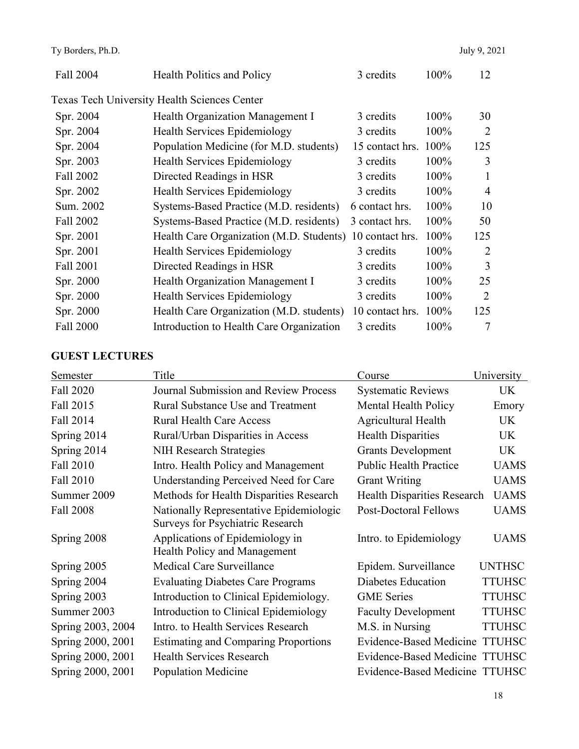| Fall 2004 | <b>Health Politics and Policy</b>            | 3 credits       | 100% | 12             |
|-----------|----------------------------------------------|-----------------|------|----------------|
|           | Texas Tech University Health Sciences Center |                 |      |                |
| Spr. 2004 | Health Organization Management I             | 3 credits       | 100% | 30             |
| Spr. 2004 | Health Services Epidemiology                 | 3 credits       | 100% | 2              |
| Spr. 2004 | Population Medicine (for M.D. students)      | 15 contact hrs. | 100% | 125            |
| Spr. 2003 | Health Services Epidemiology                 | 3 credits       | 100% | 3              |
| Fall 2002 | Directed Readings in HSR                     | 3 credits       | 100% | 1              |
| Spr. 2002 | Health Services Epidemiology                 | 3 credits       | 100% | $\overline{4}$ |
| Sum. 2002 | Systems-Based Practice (M.D. residents)      | 6 contact hrs.  | 100% | 10             |
| Fall 2002 | Systems-Based Practice (M.D. residents)      | 3 contact hrs.  | 100% | 50             |
| Spr. 2001 | Health Care Organization (M.D. Students)     | 10 contact hrs. | 100% | 125            |
| Spr. 2001 | Health Services Epidemiology                 | 3 credits       | 100% | 2              |
| Fall 2001 | Directed Readings in HSR                     | 3 credits       | 100% | 3              |
| Spr. 2000 | Health Organization Management I             | 3 credits       | 100% | 25             |
| Spr. 2000 | Health Services Epidemiology                 | 3 credits       | 100% | $\overline{2}$ |
| Spr. 2000 | Health Care Organization (M.D. students)     | 10 contact hrs. | 100% | 125            |
| Fall 2000 | Introduction to Health Care Organization     | 3 credits       | 100% | 7              |

## **GUEST LECTURES**

| Semester          | Title                                                                       | Course                             | University    |
|-------------------|-----------------------------------------------------------------------------|------------------------------------|---------------|
| Fall 2020         | <b>Journal Submission and Review Process</b>                                | <b>Systematic Reviews</b>          | UK            |
| Fall 2015         | <b>Rural Substance Use and Treatment</b>                                    | Mental Health Policy               | Emory         |
| Fall 2014         | <b>Rural Health Care Access</b>                                             | <b>Agricultural Health</b>         | UK            |
| Spring 2014       | Rural/Urban Disparities in Access                                           | <b>Health Disparities</b>          | UK            |
| Spring 2014       | <b>NIH Research Strategies</b>                                              | <b>Grants Development</b>          | UK            |
| Fall 2010         | Intro. Health Policy and Management                                         | <b>Public Health Practice</b>      | <b>UAMS</b>   |
| Fall 2010         | <b>Understanding Perceived Need for Care</b>                                | <b>Grant Writing</b>               | <b>UAMS</b>   |
| Summer 2009       | Methods for Health Disparities Research                                     | <b>Health Disparities Research</b> | <b>UAMS</b>   |
| Fall 2008         | Nationally Representative Epidemiologic<br>Surveys for Psychiatric Research | <b>Post-Doctoral Fellows</b>       | <b>UAMS</b>   |
| Spring 2008       | Applications of Epidemiology in<br>Health Policy and Management             | Intro. to Epidemiology             | <b>UAMS</b>   |
| Spring 2005       | Medical Care Surveillance                                                   | Epidem. Surveillance               | <b>UNTHSC</b> |
| Spring 2004       | <b>Evaluating Diabetes Care Programs</b>                                    | Diabetes Education                 | <b>TTUHSC</b> |
| Spring 2003       | Introduction to Clinical Epidemiology.                                      | <b>GME</b> Series                  | <b>TTUHSC</b> |
| Summer 2003       | Introduction to Clinical Epidemiology                                       | <b>Faculty Development</b>         | <b>TTUHSC</b> |
| Spring 2003, 2004 | Intro. to Health Services Research                                          | M.S. in Nursing                    | <b>TTUHSC</b> |
| Spring 2000, 2001 | <b>Estimating and Comparing Proportions</b>                                 | Evidence-Based Medicine            | <b>TTUHSC</b> |
| Spring 2000, 2001 | <b>Health Services Research</b>                                             | Evidence-Based Medicine TTUHSC     |               |
| Spring 2000, 2001 | <b>Population Medicine</b>                                                  | Evidence-Based Medicine TTUHSC     |               |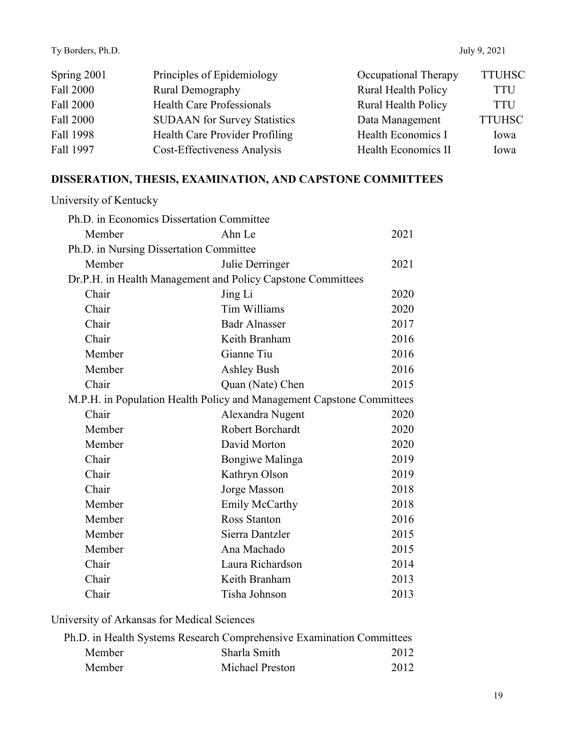| Spring 2001 | Principles of Epidemiology          | Occupational Therapy | <b>TTUHSC</b> |
|-------------|-------------------------------------|----------------------|---------------|
| Fall 2000   | Rural Demography                    | Rural Health Policy  | <b>TTU</b>    |
| Fall 2000   | <b>Health Care Professionals</b>    | Rural Health Policy  | <b>TTU</b>    |
| Fall 2000   | <b>SUDAAN</b> for Survey Statistics | Data Management      | <b>TTUHSC</b> |
| Fall 1998   | Health Care Provider Profiling      | Health Economics I   | Iowa          |
| Fall 1997   | Cost-Effectiveness Analysis         | Health Economics II  | Iowa          |

# **DISSERATION, THESIS, EXAMINATION, AND CAPSTONE COMMITTEES**

| University of Kentucky                    |                                                                       |      |  |
|-------------------------------------------|-----------------------------------------------------------------------|------|--|
| Ph.D. in Economics Dissertation Committee |                                                                       |      |  |
| Member                                    | Ahn Le                                                                | 2021 |  |
| Ph.D. in Nursing Dissertation Committee   |                                                                       |      |  |
| Member                                    | Julie Derringer                                                       | 2021 |  |
|                                           | Dr.P.H. in Health Management and Policy Capstone Committees           |      |  |
| Chair                                     | Jing Li                                                               | 2020 |  |
| Chair                                     | Tim Williams                                                          | 2020 |  |
| Chair                                     | <b>Badr Alnasser</b>                                                  | 2017 |  |
| Chair                                     | Keith Branham                                                         | 2016 |  |
| Member                                    | Gianne Tiu                                                            | 2016 |  |
| Member                                    | <b>Ashley Bush</b>                                                    | 2016 |  |
| Chair                                     | Quan (Nate) Chen                                                      | 2015 |  |
|                                           | M.P.H. in Population Health Policy and Management Capstone Committees |      |  |
| Chair                                     | Alexandra Nugent                                                      | 2020 |  |
| Member                                    | <b>Robert Borchardt</b>                                               | 2020 |  |
| Member                                    | David Morton                                                          | 2020 |  |
| Chair                                     | Bongiwe Malinga                                                       | 2019 |  |
| Chair                                     | Kathryn Olson                                                         | 2019 |  |
| Chair                                     | Jorge Masson                                                          | 2018 |  |
| Member                                    | Emily McCarthy                                                        | 2018 |  |
| Member                                    | Ross Stanton                                                          | 2016 |  |
| Member                                    | Sierra Dantzler                                                       | 2015 |  |
| Member                                    | Ana Machado                                                           | 2015 |  |
| Chair                                     | Laura Richardson                                                      | 2014 |  |
| Chair                                     | Keith Branham                                                         | 2013 |  |
| Chair                                     | Tisha Johnson                                                         | 2013 |  |
|                                           |                                                                       |      |  |

## University of Arkansas for Medical Sciences

| Ph.D. in Health Systems Research Comprehensive Examination Committees |                 |      |  |
|-----------------------------------------------------------------------|-----------------|------|--|
| Member                                                                | Sharla Smith    | 2012 |  |
| Member                                                                | Michael Preston | 2012 |  |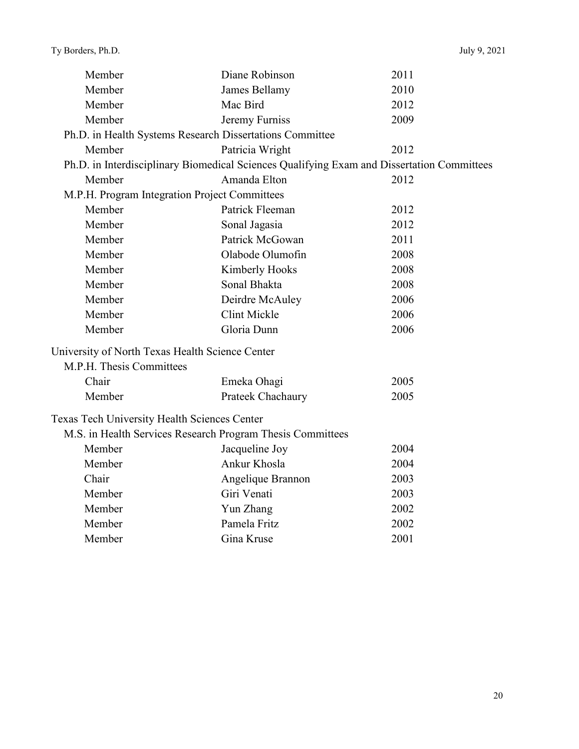| Member                                          | Diane Robinson                                                                             | 2011 |  |
|-------------------------------------------------|--------------------------------------------------------------------------------------------|------|--|
| Member                                          | James Bellamy                                                                              | 2010 |  |
| Member                                          | Mac Bird                                                                                   | 2012 |  |
| Member                                          | Jeremy Furniss                                                                             | 2009 |  |
|                                                 | Ph.D. in Health Systems Research Dissertations Committee                                   |      |  |
| Member                                          | Patricia Wright                                                                            | 2012 |  |
|                                                 | Ph.D. in Interdisciplinary Biomedical Sciences Qualifying Exam and Dissertation Committees |      |  |
| Member                                          | Amanda Elton                                                                               | 2012 |  |
|                                                 | M.P.H. Program Integration Project Committees                                              |      |  |
| Member                                          | Patrick Fleeman                                                                            | 2012 |  |
| Member                                          | Sonal Jagasia                                                                              | 2012 |  |
| Member                                          | Patrick McGowan                                                                            | 2011 |  |
| Member                                          | Olabode Olumofin                                                                           | 2008 |  |
| Member                                          | Kimberly Hooks                                                                             | 2008 |  |
| Member                                          | Sonal Bhakta                                                                               | 2008 |  |
| Member                                          | Deirdre McAuley                                                                            | 2006 |  |
| Member                                          | <b>Clint Mickle</b>                                                                        | 2006 |  |
| Member                                          | Gloria Dunn                                                                                | 2006 |  |
| University of North Texas Health Science Center |                                                                                            |      |  |
| M.P.H. Thesis Committees                        |                                                                                            |      |  |
| Chair                                           | Emeka Ohagi                                                                                | 2005 |  |
| Member                                          | Prateek Chachaury                                                                          | 2005 |  |
| Texas Tech University Health Sciences Center    |                                                                                            |      |  |
|                                                 | M.S. in Health Services Research Program Thesis Committees                                 |      |  |
| Member                                          | Jacqueline Joy                                                                             | 2004 |  |
| Member                                          | Ankur Khosla                                                                               | 2004 |  |
| Chair                                           | Angelique Brannon                                                                          | 2003 |  |
| Member                                          | Giri Venati                                                                                | 2003 |  |
| Member                                          | Yun Zhang                                                                                  | 2002 |  |
| Member                                          | Pamela Fritz                                                                               | 2002 |  |
| Member                                          | Gina Kruse                                                                                 | 2001 |  |
|                                                 |                                                                                            |      |  |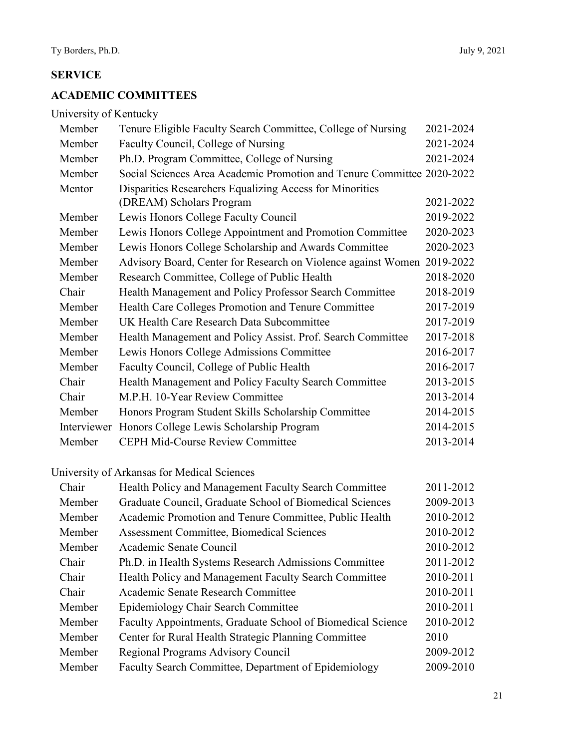## **SERVICE**

## **ACADEMIC COMMITTEES**

University of Kentucky

| Member      | Tenure Eligible Faculty Search Committee, College of Nursing           | 2021-2024 |
|-------------|------------------------------------------------------------------------|-----------|
| Member      | Faculty Council, College of Nursing                                    | 2021-2024 |
| Member      | Ph.D. Program Committee, College of Nursing                            | 2021-2024 |
| Member      | Social Sciences Area Academic Promotion and Tenure Committee 2020-2022 |           |
| Mentor      | Disparities Researchers Equalizing Access for Minorities               |           |
|             | (DREAM) Scholars Program                                               | 2021-2022 |
| Member      | Lewis Honors College Faculty Council                                   | 2019-2022 |
| Member      | Lewis Honors College Appointment and Promotion Committee               | 2020-2023 |
| Member      | Lewis Honors College Scholarship and Awards Committee                  | 2020-2023 |
| Member      | Advisory Board, Center for Research on Violence against Women          | 2019-2022 |
| Member      | Research Committee, College of Public Health                           | 2018-2020 |
| Chair       | Health Management and Policy Professor Search Committee                | 2018-2019 |
| Member      | Health Care Colleges Promotion and Tenure Committee                    | 2017-2019 |
| Member      | UK Health Care Research Data Subcommittee                              | 2017-2019 |
| Member      | Health Management and Policy Assist. Prof. Search Committee            | 2017-2018 |
| Member      | Lewis Honors College Admissions Committee                              | 2016-2017 |
| Member      | Faculty Council, College of Public Health                              | 2016-2017 |
| Chair       | Health Management and Policy Faculty Search Committee                  | 2013-2015 |
| Chair       | M.P.H. 10-Year Review Committee                                        | 2013-2014 |
| Member      | Honors Program Student Skills Scholarship Committee                    | 2014-2015 |
| Interviewer | Honors College Lewis Scholarship Program                               | 2014-2015 |
| Member      | <b>CEPH Mid-Course Review Committee</b>                                | 2013-2014 |

# University of Arkansas for Medical Sciences

| Chair  | Health Policy and Management Faculty Search Committee       | 2011-2012 |
|--------|-------------------------------------------------------------|-----------|
| Member | Graduate Council, Graduate School of Biomedical Sciences    | 2009-2013 |
| Member | Academic Promotion and Tenure Committee, Public Health      | 2010-2012 |
| Member | Assessment Committee, Biomedical Sciences                   | 2010-2012 |
| Member | Academic Senate Council                                     | 2010-2012 |
| Chair  | Ph.D. in Health Systems Research Admissions Committee       | 2011-2012 |
| Chair  | Health Policy and Management Faculty Search Committee       | 2010-2011 |
| Chair  | Academic Senate Research Committee                          | 2010-2011 |
| Member | Epidemiology Chair Search Committee                         | 2010-2011 |
| Member | Faculty Appointments, Graduate School of Biomedical Science | 2010-2012 |
| Member | Center for Rural Health Strategic Planning Committee        | 2010      |
| Member | Regional Programs Advisory Council                          | 2009-2012 |
| Member | Faculty Search Committee, Department of Epidemiology        | 2009-2010 |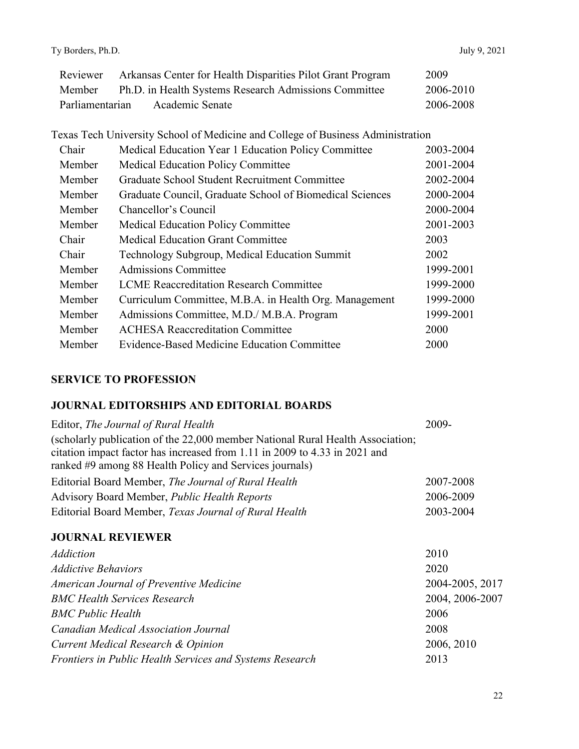|                 | Reviewer Arkansas Center for Health Disparities Pilot Grant Program | 2009      |
|-----------------|---------------------------------------------------------------------|-----------|
| Member          | Ph.D. in Health Systems Research Admissions Committee               | 2006-2010 |
| Parliamentarian | Academic Senate                                                     | 2006-2008 |

| Texas Tech University School of Medicine and College of Business Administration |                                                          |           |
|---------------------------------------------------------------------------------|----------------------------------------------------------|-----------|
| Chair                                                                           | Medical Education Year 1 Education Policy Committee      | 2003-2004 |
| Member                                                                          | <b>Medical Education Policy Committee</b>                | 2001-2004 |
| Member                                                                          | Graduate School Student Recruitment Committee            | 2002-2004 |
| Member                                                                          | Graduate Council, Graduate School of Biomedical Sciences | 2000-2004 |
| Member                                                                          | Chancellor's Council                                     | 2000-2004 |
| Member                                                                          | <b>Medical Education Policy Committee</b>                | 2001-2003 |
| Chair                                                                           | <b>Medical Education Grant Committee</b>                 | 2003      |
| Chair                                                                           | Technology Subgroup, Medical Education Summit            | 2002      |
| Member                                                                          | <b>Admissions Committee</b>                              | 1999-2001 |
| Member                                                                          | <b>LCME Reaccreditation Research Committee</b>           | 1999-2000 |
| Member                                                                          | Curriculum Committee, M.B.A. in Health Org. Management   | 1999-2000 |
| Member                                                                          | Admissions Committee, M.D./ M.B.A. Program               | 1999-2001 |
| Member                                                                          | <b>ACHESA Reaccreditation Committee</b>                  | 2000      |
| Member                                                                          | Evidence-Based Medicine Education Committee              | 2000      |

### **SERVICE TO PROFESSION**

## **JOURNAL EDITORSHIPS AND EDITORIAL BOARDS**

| Editor, The Journal of Rural Health                                            | 2009-     |
|--------------------------------------------------------------------------------|-----------|
| (scholarly publication of the 22,000 member National Rural Health Association; |           |
| citation impact factor has increased from 1.11 in 2009 to 4.33 in 2021 and     |           |
| ranked #9 among 88 Health Policy and Services journals)                        |           |
| Editorial Board Member, The Journal of Rural Health                            | 2007-2008 |
| Advisory Board Member, <i>Public Health Reports</i>                            | 2006-2009 |
| Editorial Board Member, Texas Journal of Rural Health                          | 2003-2004 |

## **JOURNAL REVIEWER**

| <b>Addiction</b>                                         | 2010            |
|----------------------------------------------------------|-----------------|
| <b>Addictive Behaviors</b>                               | 2020            |
| American Journal of Preventive Medicine                  | 2004-2005, 2017 |
| <b>BMC Health Services Research</b>                      | 2004, 2006-2007 |
| <b>BMC Public Health</b>                                 | 2006            |
| Canadian Medical Association Journal                     | 2008            |
| Current Medical Research & Opinion                       | 2006, 2010      |
| Frontiers in Public Health Services and Systems Research | 2013            |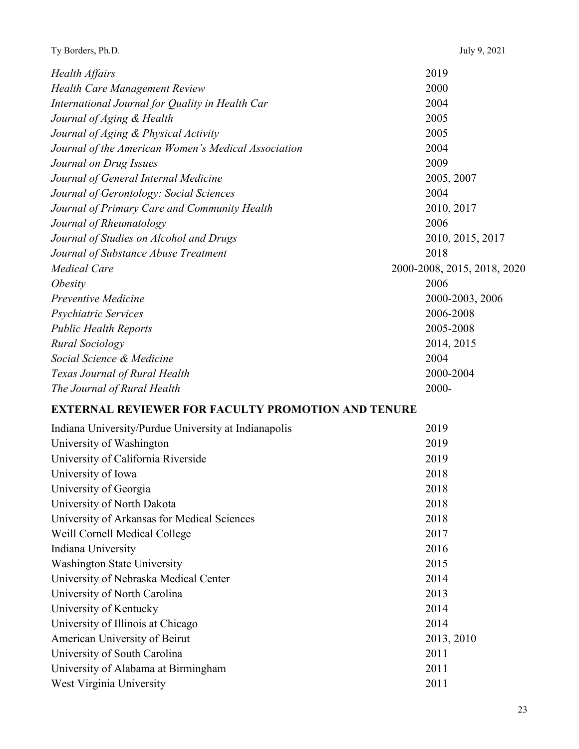| Ty Borders, Ph.D.                                         | July 9, 2021                |
|-----------------------------------------------------------|-----------------------------|
| Health Affairs                                            | 2019                        |
| Health Care Management Review                             | 2000                        |
| International Journal for Quality in Health Car           | 2004                        |
| Journal of Aging & Health                                 | 2005                        |
| Journal of Aging & Physical Activity                      | 2005                        |
| Journal of the American Women's Medical Association       | 2004                        |
| Journal on Drug Issues                                    | 2009                        |
| Journal of General Internal Medicine                      | 2005, 2007                  |
| Journal of Gerontology: Social Sciences                   | 2004                        |
| Journal of Primary Care and Community Health              | 2010, 2017                  |
| Journal of Rheumatology                                   | 2006                        |
| Journal of Studies on Alcohol and Drugs                   | 2010, 2015, 2017            |
| Journal of Substance Abuse Treatment                      | 2018                        |
| <b>Medical Care</b>                                       | 2000-2008, 2015, 2018, 2020 |
| <i>Obesity</i>                                            | 2006                        |
| Preventive Medicine                                       | 2000-2003, 2006             |
| Psychiatric Services                                      | 2006-2008                   |
| <b>Public Health Reports</b>                              | 2005-2008                   |
| <b>Rural Sociology</b>                                    | 2014, 2015                  |
| Social Science & Medicine                                 | 2004                        |
| Texas Journal of Rural Health                             | 2000-2004                   |
| The Journal of Rural Health                               | 2000-                       |
| <b>EXTERNAL REVIEWER FOR FACULTY PROMOTION AND TENURE</b> |                             |
| Indiana University/Purdue University at Indianapolis      | 2019                        |
| University of Washington                                  | 2019                        |
| University of California Riverside                        | 2019                        |
| University of Iowa                                        | 2018                        |
| University of Georgia                                     | 2018                        |
| University of North Dakota                                | 2018                        |
| University of Arkansas for Medical Sciences               | 2018                        |
| Weill Cornell Medical College                             | 2017                        |
| Indiana University                                        | 2016                        |
| <b>Washington State University</b>                        | 2015                        |
| University of Nebraska Medical Center                     | 2014                        |
| University of North Carolina                              | 2013                        |
| University of Kentucky                                    | 2014                        |
| University of Illinois at Chicago                         | 2014                        |
| American University of Beirut                             | 2013, 2010                  |
| University of South Carolina                              | 2011                        |
| University of Alabama at Birmingham                       | 2011                        |
| West Virginia University                                  | 2011                        |